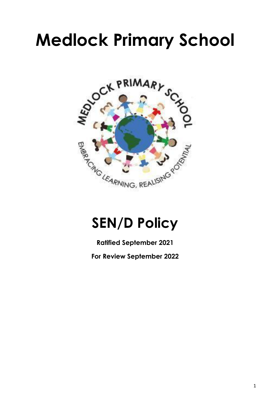# **Medlock Primary School**



# **SEN/D Policy**

**Ratified September 2021**

**For Review September 2022**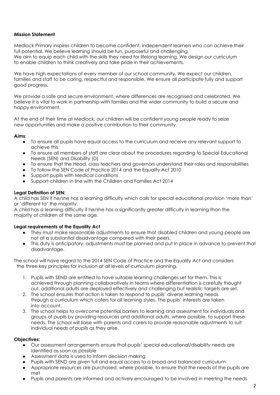#### **Mission Statement**

Medlock Primary inspires children to become confident, independent learners who can achieve their full potential. We believe learning should be fun, purposeful and challenging. We aim to equip each child with the skills they need for lifelong learning. We design our curriculum to enable children to think creatively and take pride in their achievements.

We have high expectations of every member of our school community. We expect our children, families and staff to be caring, respectful and responsible. We ensure all participate fully and support good progress.

We provide a safe and secure environment, where differences are recognised and celebrated. We believe it is vital to work in partnership with families and the wider community to build a secure and happy environment.

At the end of their time at Medlock, our children will be confident young people ready to seize new opportunities and make a positive contribution to their community.

#### **Aims**:

- To ensure all pupils have equal access to the curriculum and receive any relevant support to achieve this
- To ensure all members of staff are clear about the procedures regarding to Special Educational Needs (SEN) and Disability (D)
- To ensure that the Head, class teachers and governors understand their roles and responsibilities
- To follow the SEN Code of Practice 2014 and the Equality Act 2010
- Support pupils with Medical conditions
- Support children in line with the Children and Families Act 2014

#### **Legal Definition of SEN:**

A child has SEN if he/she has a learning difficulty which calls for special educational provision 'more than' or 'different to' the majority.

A child has a learning difficulty if he/she has a significantly greater difficulty in learning than the majority of children of the same age.

#### **Legal requirements of the Equality Act**

- They must make reasonable adjustments to ensure that disabled children and young people are not at a substantial disadvantage compared with their peers.
- This duty is anticipatory: adjustments must be planned and put in place in advance to prevent that disadvantage.

The school will have regard to the 2014 SEN Code of Practice and the Equality Act and considers the three key principles for inclusion at all levels of curriculum planning.

- 1. Pupils with SEND are entitled to have suitable learning challenges set for them. This is achieved through planning collaboratively in teams where differentiation is carefully thought out, additional adults are deployed effectively and challenging but realistic targets are set.
- 2. The school ensures that action is taken to respond to pupils' diverse learning needs through a curriculum which caters for all learning styles. The pupils' interests are taken into account.
- 3. The school helps to overcome potential barriers to learning and assessment for individuals and groups of pupils by providing resources and additional adults, where possible, to support these needs. The school will liaise with parents and carers to provide reasonable adjustments to suit individual needs of pupils as they arise.

#### **Objectives:**

- Our assessment arrangements ensure that pupils' special educational/disability needs are identified as soon as possible
- Assessment data is used to inform decision making
- Pupils with SEND are given full and equal access to a broad and balanced curriculum
- Appropriate resources are purchased, where possible, to ensure that the needs of the pupils are met
- Pupils and parents are informed and actively encouraged to be involved in meeting the needs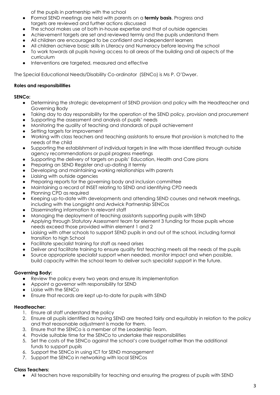of the pupils in partnership with the school

- Formal SEND meetings are held with parents on a **termly basis**. Progress and targets are reviewed and further actions discussed
- The school makes use of both in-house expertise and that of outside agencies
- Achievement targets are set and reviewed termly and the pupils understand them
- All children are encouraged to be confident and independent learners
- All children achieve basic skills in Literacy and Numeracy before leaving the school
- To work towards all pupils having access to all areas of the building and all aspects of the curriculum
- Interventions are targeted, measured and effective

The Special Educational Needs/Disability Co-ordinator (SENCo) is Ms P. O'Dwyer.

#### **Roles and responsibilities**

#### **SENCo:**

- Determining the strategic development of SEND provision and policy with the Headteacher and Governing Body
- Taking day to day responsibility for the operation of the SEND policy, provision and procurement
- Supporting the assessment and analysis of pupils' needs
- Monitoring the quality of teaching and standards of pupil achievement
- Setting targets for improvement
- Working with class teachers and teaching assistants to ensure that provision is matched to the needs of the child
- Supporting the establishment of individual targets in line with those identified through outside agency recommendations or pupil progress meetings
- Supporting the delivery of targets on pupils' Education, Health and Care plans
- Preparing an SEND Register and up-dating it termly
- Developing and maintaining working relationships with parents
- Liaising with outside agencies
- Preparing reports for the governing body and inclusion committee
- Maintaining a record of INSET relating to SEND and identifying CPD needs
- Planning CPD as required
- Keeping up-to-date with developments and attending SEND courses and network meetings, including with the Longsight and Ardwick Partnership SENCos
- Disseminating information to relevant staff
- Managing the deployment of teaching assistants supporting pupils with SEND
- Applying through Statutory Assessment team for element 3 funding for those pupils whose needs exceed those provided within element 1 and 2
- Liaising with other schools to support SEND pupils in and out of the school, including formal transition to high School
- Facilitate specialist training for staff as need arises
- Deliver and facilitate training to ensure quality first teaching meets all the needs of the pupils
- Source appropriate specialist support when needed, monitor impact and when possible, build capacity within the school team to deliver such specialist support in the future.

#### **Governing Body:**

- Review the policy every two years and ensure its implementation
- Appoint a governor with responsibility for SEND
- Liaise with the SENCo
- Ensure that records are kept up-to-date for pupils with SEND

#### **Headteacher:**

- 1. Ensure all staff understand the policy
- 2. Ensure all pupils identified as having SEND are treated fairly and equitably in relation to the policy and that reasonable adjustment is made for them.
- 3. Ensure that the SENCo is a member of the Leadership Team.
- 4. Provide suitable time for the SENCo to undertake their responsibilities
- 5. Set the costs of the SENCo against the school's core budget rather than the additional funds to support pupils
- 6. Support the SENCo in using ICT for SEND management
- 7. Support the SENCo in networking with local SENCos

#### **Class Teachers:**

● All teachers have responsibility for teaching and ensuring the progress of pupils with SEND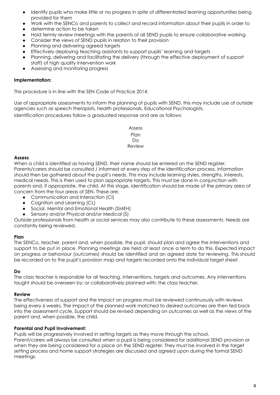- Identify pupils who make little or no progress in spite of differentiated learning opportunities being provided for them
- Work with the SENCo and parents to collect and record information about their pupils in order to
- determine action to be taken
- Hold termly review meetings with the parents of all SEND pupils to ensure collaborative working
- Consider the views of SEND pupils in relation to their provision
- Planning and delivering agreed targets
- Effectively deploying teaching assistants to support pupils' learning and targets
- Planning, delivering and facilitating the delivery (through the effective deployment of support staff) of high quality intervention work
- Assessing and monitoring progress

#### **Implementation:**

This procedure is in line with the SEN Code of Practice 2014:

Use of appropriate assessments to inform the planning of pupils with SEND, this may include use of outside agencies such as speech therapists, health professionals, Educational Psychologists. Identification procedures follow a graduated response and are as follows:

> Assess Plan Do Review

#### **Assess**

When a child is identified as having SEND, their name should be entered on the SEND register. Parents/carers should be consulted / informed at every step of the identification process. Information should then be gathered about the pupil's needs. This may include learning styles, strengths, interests, medical needs. This is then used to plan appropriate targets. This must be done in conjunction with parents and, if appropriate, the child. At this stage, identification should be made of the primary area of concern from the four areas of SEN. These are:

- Communication and Interaction (CI)
- Cognition and Learning (CL)
- Social, Mental and Emotional Health (SMEH)
- Sensory and/or Physical and/or Medical (S)

Outside professionals from health or social services may also contribute to these assessments. Needs are constantly being reviewed.

#### **Plan**

The SENCo, teacher, parent and, when possible, the pupil, should plan and agree the interventions and support to be put in place. Planning meetings are held at least once a term to do this. Expected impact on progress or behaviour (outcomes) should be identified and an agreed date for reviewing. This should be recorded on to the pupil's provision map and targets recorded onto the individual target sheet.

#### **Do**

The class teacher is responsible for all teaching, interventions, targets and outcomes. Any interventions taught should be overseen by; or collaboratively planned with; the class teacher.

#### **Review**

The effectiveness of support and the impact on progress must be reviewed continuously with reviews being every 6 weeks. The impact of the planned work matched to desired outcomes are then fed back into the assessment cycle. Support should be revised depending on outcomes as well as the views of the parent and, when possible, the child.

#### **Parental and Pupil Involvement:**

Pupils will be progressively involved in setting targets as they move through the school. Parent/carers will always be consulted when a pupil is being considered for additional SEND provision or when they are being considered for a place on the SEND register. They must be involved in the target setting process and home support strategies are discussed and agreed upon during the formal SEND meetings.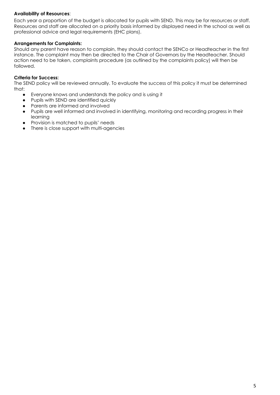#### **Availability of Resources**:

Each year a proportion of the budget is allocated for pupils with SEND. This may be for resources or staff. Resources and staff are allocated on a priority basis informed by displayed need in the school as well as professional advice and legal requirements (EHC plans).

#### **Arrangements for Complaints:**

Should any parent have reason to complain, they should contact the SENCo or Headteacher in the first instance. The complaint may then be directed to the Chair of Governors by the Headteacher. Should action need to be taken, complaints procedure (as outlined by the complaints policy) will then be followed.

#### **Criteria for Success:**

The SEND policy will be reviewed annually. To evaluate the success of this policy it must be determined that:

- Everyone knows and understands the policy and is using it
- Pupils with SEND are identified quickly
- Parents are informed and involved
- Pupils are well informed and involved in identifying, monitoring and recording progress in their learning
- Provision is matched to pupils' needs
- There is close support with multi-agencies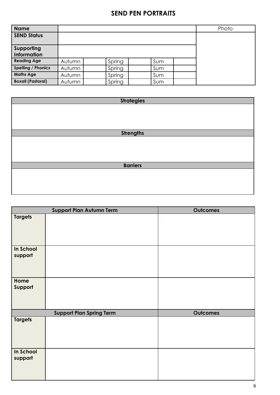## **SEND PEN PORTRAITS**

| Name                     |        |        |     | Photo |
|--------------------------|--------|--------|-----|-------|
| <b>SEND Status</b>       |        |        |     |       |
|                          |        |        |     |       |
| Supporting               |        |        |     |       |
| Information              |        |        |     |       |
| <b>Reading Age</b>       | Autumn | Spring | Sum |       |
| Spelling / Phonics       | Autumn | Spring | Sum |       |
| <b>Maths Age</b>         | Autumn | Spring | Sum |       |
| <b>Boxall (Pastoral)</b> | Autumn | Spring | Sum |       |

| <b>Strategies</b> |  |  |
|-------------------|--|--|
|                   |  |  |
|                   |  |  |
|                   |  |  |
|                   |  |  |
| <b>Strengths</b>  |  |  |
|                   |  |  |
|                   |  |  |
|                   |  |  |
|                   |  |  |
| <b>Barriers</b>   |  |  |
|                   |  |  |
|                   |  |  |
|                   |  |  |
|                   |  |  |

|                      | Support Plan Autumn Term        | <b>Outcomes</b> |
|----------------------|---------------------------------|-----------------|
| <b>Targets</b>       |                                 |                 |
| In School<br>support |                                 |                 |
| Home<br>Support      |                                 |                 |
|                      | <b>Support Plan Spring Term</b> | <b>Outcomes</b> |
| <b>Targets</b>       |                                 |                 |
| In School<br>support |                                 |                 |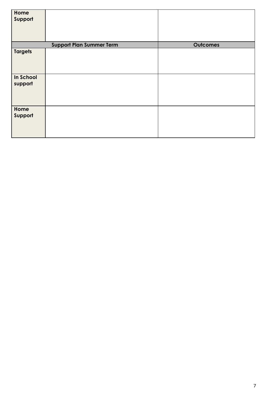| Home<br>Support      |                                 |                 |
|----------------------|---------------------------------|-----------------|
|                      | <b>Support Plan Summer Term</b> | <b>Outcomes</b> |
| <b>Targets</b>       |                                 |                 |
| In School<br>support |                                 |                 |
| Home<br>Support      |                                 |                 |